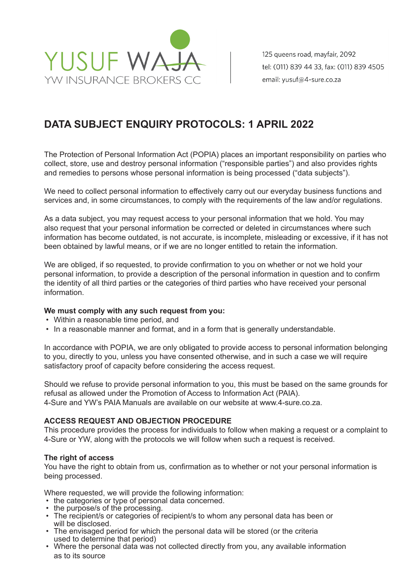

125 queens road, mayfair, 2092 tel: (011) 839 44 33, fax: (011) 839 4505 email: yusuf@4-sure.co.za

# **DATA SUBJECT ENQUIRY PROTOCOLS: 1 APRIL 2022**

The Protection of Personal Information Act (POPIA) places an important responsibility on parties who collect, store, use and destroy personal information ("responsible parties") and also provides rights and remedies to persons whose personal information is being processed ("data subjects").

We need to collect personal information to effectively carry out our everyday business functions and services and, in some circumstances, to comply with the requirements of the law and/or regulations.

As a data subject, you may request access to your personal information that we hold. You may also request that your personal information be corrected or deleted in circumstances where such information has become outdated, is not accurate, is incomplete, misleading or excessive, if it has not been obtained by lawful means, or if we are no longer entitled to retain the information.

We are obliged, if so requested, to provide confirmation to you on whether or not we hold your personal information, to provide a description of the personal information in question and to confirm the identity of all third parties or the categories of third parties who have received your personal information.

## **We must comply with any such request from you:**

- Within a reasonable time period, and
- In a reasonable manner and format, and in a form that is generally understandable.

In accordance with POPIA, we are only obligated to provide access to personal information belonging to you, directly to you, unless you have consented otherwise, and in such a case we will require satisfactory proof of capacity before considering the access request.

Should we refuse to provide personal information to you, this must be based on the same grounds for refusal as allowed under the Promotion of Access to Information Act (PAIA). 4-Sure and YW's PAIA Manuals are available on our website at www.4-sure.co.za.

## **ACCESS REQUEST AND OBJECTION PROCEDURE**

This procedure provides the process for individuals to follow when making a request or a complaint to 4-Sure or YW, along with the protocols we will follow when such a request is received.

#### **The right of access**

You have the right to obtain from us, confirmation as to whether or not your personal information is being processed.

Where requested, we will provide the following information:<br>• the categories or type of personal data concerned.

- 
- 
- the purpose/s of the processing.<br>• The recipient/s or categories of recipient/s to whom any personal data has been or<br>will be disclosed.<br>• The envisaged period for which the personal data will be stored (or the criteria
- used to determine that period)
- Where the personal data was not collected directly from you, any available information as to its source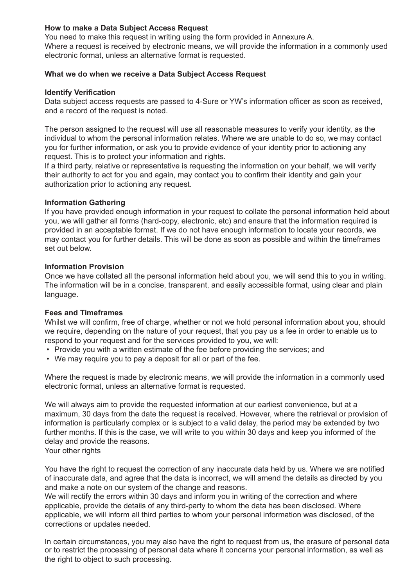## **How to make a Data Subject Access Request**

You need to make this request in writing using the form provided in Annexure A. Where a request is received by electronic means, we will provide the information in a commonly used electronic format, unless an alternative format is requested.

## **What we do when we receive a Data Subject Access Request**

#### **Identify Verification**

Data subject access requests are passed to 4-Sure or YW's information officer as soon as received, and a record of the request is noted.

The person assigned to the request will use all reasonable measures to verify your identity, as the individual to whom the personal information relates. Where we are unable to do so, we may contact you for further information, or ask you to provide evidence of your identity prior to actioning any request. This is to protect your information and rights.

If a third party, relative or representative is requesting the information on your behalf, we will verify their authority to act for you and again, may contact you to confirm their identity and gain your authorization prior to actioning any request.

## **Information Gathering**

If you have provided enough information in your request to collate the personal information held about you, we will gather all forms (hard-copy, electronic, etc) and ensure that the information required is provided in an acceptable format. If we do not have enough information to locate your records, we may contact you for further details. This will be done as soon as possible and within the timeframes set out below.

# **Information Provision**

Once we have collated all the personal information held about you, we will send this to you in writing. The information will be in a concise, transparent, and easily accessible format, using clear and plain language.

## **Fees and Timeframes**

Whilst we will confirm, free of charge, whether or not we hold personal information about you, should we require, depending on the nature of your request, that you pay us a fee in order to enable us to respond to your request and for the services provided to you, we will:

- Provide you with a written estimate of the fee before providing the services; and
- We may require you to pay a deposit for all or part of the fee.

Where the request is made by electronic means, we will provide the information in a commonly used electronic format, unless an alternative format is requested.

We will always aim to provide the requested information at our earliest convenience, but at a maximum, 30 days from the date the request is received. However, where the retrieval or provision of information is particularly complex or is subject to a valid delay, the period may be extended by two further months. If this is the case, we will write to you within 30 days and keep you informed of the delay and provide the reasons.

Your other rights

You have the right to request the correction of any inaccurate data held by us. Where we are notified of inaccurate data, and agree that the data is incorrect, we will amend the details as directed by you and make a note on our system of the change and reasons.

We will rectify the errors within 30 days and inform you in writing of the correction and where applicable, provide the details of any third-party to whom the data has been disclosed. Where applicable, we will inform all third parties to whom your personal information was disclosed, of the corrections or updates needed.

In certain circumstances, you may also have the right to request from us, the erasure of personal data or to restrict the processing of personal data where it concerns your personal information, as well as the right to object to such processing.